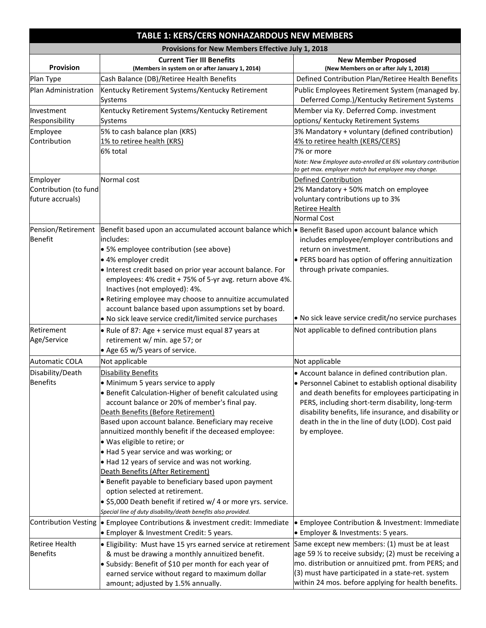|                                                       | TABLE 1: KERS/CERS NONHAZARDOUS NEW MEMBERS                                                                                                                                                                                                                                                                                                                                                                                                                                                                                                                                                                                                                     |                                                                                                                                                                                                                                                                                                                                                 |  |  |  |  |  |
|-------------------------------------------------------|-----------------------------------------------------------------------------------------------------------------------------------------------------------------------------------------------------------------------------------------------------------------------------------------------------------------------------------------------------------------------------------------------------------------------------------------------------------------------------------------------------------------------------------------------------------------------------------------------------------------------------------------------------------------|-------------------------------------------------------------------------------------------------------------------------------------------------------------------------------------------------------------------------------------------------------------------------------------------------------------------------------------------------|--|--|--|--|--|
|                                                       | Provisions for New Members Effective July 1, 2018                                                                                                                                                                                                                                                                                                                                                                                                                                                                                                                                                                                                               |                                                                                                                                                                                                                                                                                                                                                 |  |  |  |  |  |
| Provision                                             | <b>Current Tier III Benefits</b><br>(Members in system on or after January 1, 2014)                                                                                                                                                                                                                                                                                                                                                                                                                                                                                                                                                                             | <b>New Member Proposed</b><br>(New Members on or after July 1, 2018)                                                                                                                                                                                                                                                                            |  |  |  |  |  |
| Plan Type                                             | Cash Balance (DB)/Retiree Health Benefits                                                                                                                                                                                                                                                                                                                                                                                                                                                                                                                                                                                                                       | Defined Contribution Plan/Retiree Health Benefits                                                                                                                                                                                                                                                                                               |  |  |  |  |  |
| Plan Administration                                   | Kentucky Retirement Systems/Kentucky Retirement<br>Systems                                                                                                                                                                                                                                                                                                                                                                                                                                                                                                                                                                                                      | Public Employees Retirement System (managed by.<br>Deferred Comp.)/Kentucky Retirement Systems                                                                                                                                                                                                                                                  |  |  |  |  |  |
| Investment<br>Responsibility                          | Kentucky Retirement Systems/Kentucky Retirement<br>Systems                                                                                                                                                                                                                                                                                                                                                                                                                                                                                                                                                                                                      | Member via Ky. Deferred Comp. investment<br>options/ Kentucky Retirement Systems                                                                                                                                                                                                                                                                |  |  |  |  |  |
| Employee<br>Contribution                              | 5% to cash balance plan (KRS)<br>1% to retiree health (KRS)<br>6% total                                                                                                                                                                                                                                                                                                                                                                                                                                                                                                                                                                                         | 3% Mandatory + voluntary (defined contribution)<br>4% to retiree health (KERS/CERS)<br>7% or more<br>Note: New Employee auto-enrolled at 6% voluntary contribution<br>to get max. employer match but employee may change.                                                                                                                       |  |  |  |  |  |
| Employer<br>Contribution (to fund<br>future accruals) | Normal cost                                                                                                                                                                                                                                                                                                                                                                                                                                                                                                                                                                                                                                                     | Defined Contribution<br>2% Mandatory + 50% match on employee<br>voluntary contributions up to 3%<br><b>Retiree Health</b><br>Normal Cost                                                                                                                                                                                                        |  |  |  |  |  |
| Pension/Retirement<br>Benefit                         | Benefit based upon an accumulated account balance which • Benefit Based upon account balance which<br>includes:<br>• 5% employee contribution (see above)<br>• 4% employer credit<br>Interest credit based on prior year account balance. For<br>employees: 4% credit + 75% of 5-yr avg. return above 4%.<br>Inactives (not employed): 4%.<br>• Retiring employee may choose to annuitize accumulated<br>account balance based upon assumptions set by board.                                                                                                                                                                                                   | includes employee/employer contributions and<br>return on investment.<br>• PERS board has option of offering annuitization<br>through private companies.                                                                                                                                                                                        |  |  |  |  |  |
|                                                       | • No sick leave service credit/limited service purchases                                                                                                                                                                                                                                                                                                                                                                                                                                                                                                                                                                                                        | • No sick leave service credit/no service purchases                                                                                                                                                                                                                                                                                             |  |  |  |  |  |
| Retirement<br>Age/Service                             | • Rule of 87: Age + service must equal 87 years at<br>retirement w/ min. age 57; or<br>$\bullet$ Age 65 w/5 years of service.                                                                                                                                                                                                                                                                                                                                                                                                                                                                                                                                   | Not applicable to defined contribution plans                                                                                                                                                                                                                                                                                                    |  |  |  |  |  |
| <b>Automatic COLA</b>                                 | Not applicable                                                                                                                                                                                                                                                                                                                                                                                                                                                                                                                                                                                                                                                  | Not applicable                                                                                                                                                                                                                                                                                                                                  |  |  |  |  |  |
| Disability/Death<br><b>Benefits</b>                   | <b>Disability Benefits</b><br>• Minimum 5 years service to apply<br>• Benefit Calculation-Higher of benefit calculated using<br>account balance or 20% of member's final pay.<br>Death Benefits (Before Retirement)<br>Based upon account balance. Beneficiary may receive<br>annuitized monthly benefit if the deceased employee:<br>· Was eligible to retire; or<br>• Had 5 year service and was working; or<br>• Had 12 years of service and was not working.<br>Death Benefits (After Retirement)<br>• Benefit payable to beneficiary based upon payment<br>option selected at retirement.<br>• \$5,000 Death benefit if retired w/ 4 or more yrs. service. | • Account balance in defined contribution plan.<br>· Personnel Cabinet to establish optional disability<br>and death benefits for employees participating in<br>PERS, including short-term disability, long-term<br>disability benefits, life insurance, and disability or<br>death in the in the line of duty (LOD). Cost paid<br>by employee. |  |  |  |  |  |
|                                                       | Special line of duty disability/death benefits also provided.                                                                                                                                                                                                                                                                                                                                                                                                                                                                                                                                                                                                   |                                                                                                                                                                                                                                                                                                                                                 |  |  |  |  |  |
|                                                       | Contribution Vesting   Employee Contributions & investment credit: Immediate<br><b>•</b> Employer & Investment Credit: 5 years.                                                                                                                                                                                                                                                                                                                                                                                                                                                                                                                                 | <b>•</b> Employee Contribution & Investment: Immediate<br>• Employer & Investments: 5 years.                                                                                                                                                                                                                                                    |  |  |  |  |  |
| <b>Retiree Health</b><br><b>Benefits</b>              | • Eligibility: Must have 15 yrs earned service at retirement<br>& must be drawing a monthly annuitized benefit.<br>• Subsidy: Benefit of \$10 per month for each year of<br>earned service without regard to maximum dollar<br>amount; adjusted by 1.5% annually.                                                                                                                                                                                                                                                                                                                                                                                               | Same except new members: (1) must be at least<br>age 59 1/2 to receive subsidy; (2) must be receiving a<br>mo. distribution or annuitized pmt. from PERS; and<br>(3) must have participated in a state-ret. system<br>within 24 mos. before applying for health benefits.                                                                       |  |  |  |  |  |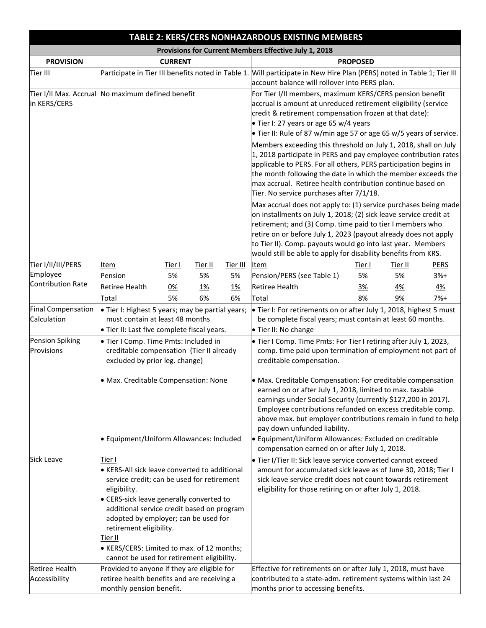|                                                   |                                                  |                                                             |                                                                                                                              |                                                                    | TABLE 2: KERS/CERS NONHAZARDOUS EXISTING MEMBERS                                                                        |               |           |             |
|---------------------------------------------------|--------------------------------------------------|-------------------------------------------------------------|------------------------------------------------------------------------------------------------------------------------------|--------------------------------------------------------------------|-------------------------------------------------------------------------------------------------------------------------|---------------|-----------|-------------|
|                                                   |                                                  |                                                             |                                                                                                                              |                                                                    | Provisions for Current Members Effective July 1, 2018                                                                   |               |           |             |
| <b>PROVISION</b>                                  |                                                  | <b>CURRENT</b>                                              |                                                                                                                              |                                                                    | <b>PROPOSED</b>                                                                                                         |               |           |             |
| Tier III                                          |                                                  |                                                             |                                                                                                                              |                                                                    | Participate in Tier III benefits noted in Table 1. Will participate in New Hire Plan (PERS) noted in Table 1; Tier III  |               |           |             |
|                                                   |                                                  |                                                             |                                                                                                                              |                                                                    | account balance will rollover into PERS plan.                                                                           |               |           |             |
| Tier I/II Max. Accrual No maximum defined benefit |                                                  |                                                             |                                                                                                                              |                                                                    | For Tier I/II members, maximum KERS/CERS pension benefit                                                                |               |           |             |
| in KERS/CERS                                      |                                                  |                                                             |                                                                                                                              |                                                                    | accrual is amount at unreduced retirement eligibility (service                                                          |               |           |             |
|                                                   |                                                  |                                                             |                                                                                                                              |                                                                    | credit & retirement compensation frozen at that date):<br>• Tier I: 27 years or age 65 w/4 years                        |               |           |             |
|                                                   |                                                  |                                                             |                                                                                                                              | • Tier II: Rule of 87 w/min age 57 or age 65 w/5 years of service. |                                                                                                                         |               |           |             |
|                                                   |                                                  |                                                             |                                                                                                                              | Members exceeding this threshold on July 1, 2018, shall on July    |                                                                                                                         |               |           |             |
|                                                   |                                                  |                                                             |                                                                                                                              |                                                                    | 1, 2018 participate in PERS and pay employee contribution rates                                                         |               |           |             |
|                                                   |                                                  |                                                             |                                                                                                                              |                                                                    | applicable to PERS. For all others, PERS participation begins in                                                        |               |           |             |
|                                                   |                                                  |                                                             |                                                                                                                              |                                                                    | the month following the date in which the member exceeds the                                                            |               |           |             |
|                                                   |                                                  |                                                             |                                                                                                                              |                                                                    | max accrual. Retiree health contribution continue based on                                                              |               |           |             |
|                                                   |                                                  |                                                             |                                                                                                                              |                                                                    | Tier. No service purchases after 7/1/18.                                                                                |               |           |             |
|                                                   |                                                  |                                                             |                                                                                                                              |                                                                    | Max accrual does not apply to: (1) service purchases being made                                                         |               |           |             |
|                                                   |                                                  |                                                             |                                                                                                                              |                                                                    | on installments on July 1, 2018; (2) sick leave service credit at                                                       |               |           |             |
|                                                   |                                                  |                                                             | retirement; and (3) Comp. time paid to tier I members who<br>retire on or before July 1, 2023 (payout already does not apply |                                                                    |                                                                                                                         |               |           |             |
|                                                   |                                                  | to Tier II). Comp. payouts would go into last year. Members |                                                                                                                              |                                                                    |                                                                                                                         |               |           |             |
|                                                   |                                                  |                                                             |                                                                                                                              |                                                                    | would still be able to apply for disability benefits from KRS.                                                          |               |           |             |
| Tier I/II/III/PERS                                | Item                                             | Tier I                                                      | <u>Tier II</u>                                                                                                               | Tier III                                                           | <b>Item</b>                                                                                                             | <u>Tier I</u> | Tier II   | <b>PERS</b> |
| Employee                                          | Pension                                          | 5%                                                          | 5%                                                                                                                           | 5%                                                                 | Pension/PERS (see Table 1)                                                                                              | 5%            | 5%        | $3%+$       |
| Contribution Rate                                 | <b>Retiree Health</b>                            | 0%                                                          | <u>1%</u>                                                                                                                    | <u>1%</u>                                                          | <b>Retiree Health</b>                                                                                                   | <u>3%</u>     | <u>4%</u> | <u>4%</u>   |
|                                                   | Total                                            | 5%                                                          | 6%                                                                                                                           | 6%                                                                 | Total                                                                                                                   | 8%            | 9%        | $7%+$       |
| Final Compensation                                | • Tier I: Highest 5 years; may be partial years; |                                                             |                                                                                                                              |                                                                    | • Tier I: For retirements on or after July 1, 2018, highest 5 must                                                      |               |           |             |
| Calculation                                       | must contain at least 48 months                  |                                                             |                                                                                                                              |                                                                    | be complete fiscal years; must contain at least 60 months.                                                              |               |           |             |
|                                                   | • Tier II: Last five complete fiscal years.      |                                                             |                                                                                                                              |                                                                    | · Tier II: No change                                                                                                    |               |           |             |
| Pension Spiking                                   | · Tier I Comp. Time Pmts: Included in            |                                                             |                                                                                                                              |                                                                    | • Tier I Comp. Time Pmts: For Tier I retiring after July 1, 2023,                                                       |               |           |             |
| Provisions                                        | creditable compensation (Tier II already         |                                                             |                                                                                                                              |                                                                    | comp. time paid upon termination of employment not part of                                                              |               |           |             |
|                                                   | excluded by prior leg. change)                   |                                                             |                                                                                                                              |                                                                    | creditable compensation.                                                                                                |               |           |             |
|                                                   | • Max. Creditable Compensation: None             |                                                             |                                                                                                                              |                                                                    |                                                                                                                         |               |           |             |
|                                                   |                                                  |                                                             |                                                                                                                              |                                                                    | • Max. Creditable Compensation: For creditable compensation<br>earned on or after July 1, 2018, limited to max. taxable |               |           |             |
|                                                   |                                                  |                                                             |                                                                                                                              |                                                                    | earnings under Social Security (currently \$127,200 in 2017).                                                           |               |           |             |
|                                                   |                                                  |                                                             |                                                                                                                              |                                                                    | Employee contributions refunded on excess creditable comp.                                                              |               |           |             |
|                                                   |                                                  |                                                             |                                                                                                                              |                                                                    | above max. but employer contributions remain in fund to help                                                            |               |           |             |
|                                                   |                                                  |                                                             |                                                                                                                              |                                                                    | pay down unfunded liability.                                                                                            |               |           |             |
|                                                   | · Equipment/Uniform Allowances: Included         |                                                             |                                                                                                                              |                                                                    | · Equipment/Uniform Allowances: Excluded on creditable<br>compensation earned on or after July 1, 2018.                 |               |           |             |
| <b>Sick Leave</b>                                 | Tier I                                           |                                                             |                                                                                                                              |                                                                    | · Tier I/Tier II: Sick leave service converted cannot exceed                                                            |               |           |             |
|                                                   | • KERS-All sick leave converted to additional    |                                                             |                                                                                                                              |                                                                    | amount for accumulated sick leave as of June 30, 2018; Tier I                                                           |               |           |             |
|                                                   | service credit; can be used for retirement       |                                                             |                                                                                                                              |                                                                    | sick leave service credit does not count towards retirement                                                             |               |           |             |
|                                                   | eligibility.                                     |                                                             |                                                                                                                              |                                                                    | eligibility for those retiring on or after July 1, 2018.                                                                |               |           |             |
|                                                   | • CERS-sick leave generally converted to         |                                                             |                                                                                                                              |                                                                    |                                                                                                                         |               |           |             |
|                                                   | additional service credit based on program       |                                                             |                                                                                                                              |                                                                    |                                                                                                                         |               |           |             |
|                                                   | adopted by employer; can be used for             |                                                             |                                                                                                                              |                                                                    |                                                                                                                         |               |           |             |
|                                                   | retirement eligibility.<br>Tier II               |                                                             |                                                                                                                              |                                                                    |                                                                                                                         |               |           |             |
|                                                   | • KERS/CERS: Limited to max. of 12 months;       |                                                             |                                                                                                                              |                                                                    |                                                                                                                         |               |           |             |
|                                                   | cannot be used for retirement eligibility.       |                                                             |                                                                                                                              |                                                                    |                                                                                                                         |               |           |             |
| <b>Retiree Health</b>                             | Provided to anyone if they are eligible for      |                                                             |                                                                                                                              |                                                                    | Effective for retirements on or after July 1, 2018, must have                                                           |               |           |             |
| Accessibility                                     | retiree health benefits and are receiving a      |                                                             |                                                                                                                              |                                                                    | contributed to a state-adm. retirement systems within last 24                                                           |               |           |             |
|                                                   | monthly pension benefit.                         |                                                             |                                                                                                                              | months prior to accessing benefits.                                |                                                                                                                         |               |           |             |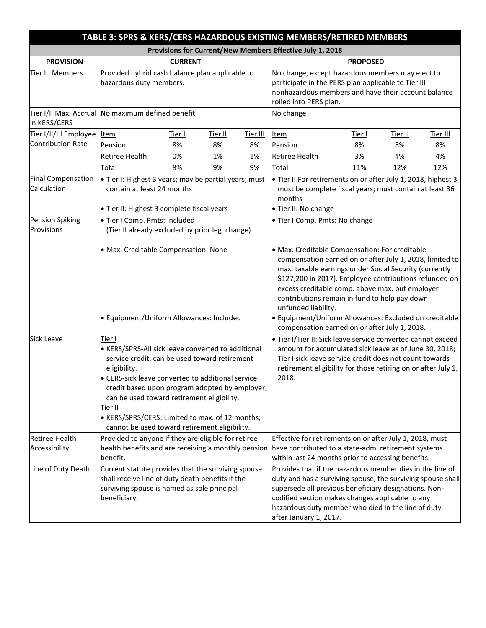|                                          |                                                                                                                                                                                                                                                                                                                                                                                                   | TABLE 3: SPRS & KERS/CERS HAZARDOUS EXISTING MEMBERS/RETIRED MEMBERS |                |                                                                                                                                                                                                                                                             |                                                                                                                                                                                                                                                                                                                                                                                                                                                                      |               |                |                 |
|------------------------------------------|---------------------------------------------------------------------------------------------------------------------------------------------------------------------------------------------------------------------------------------------------------------------------------------------------------------------------------------------------------------------------------------------------|----------------------------------------------------------------------|----------------|-------------------------------------------------------------------------------------------------------------------------------------------------------------------------------------------------------------------------------------------------------------|----------------------------------------------------------------------------------------------------------------------------------------------------------------------------------------------------------------------------------------------------------------------------------------------------------------------------------------------------------------------------------------------------------------------------------------------------------------------|---------------|----------------|-----------------|
|                                          |                                                                                                                                                                                                                                                                                                                                                                                                   |                                                                      |                |                                                                                                                                                                                                                                                             | Provisions for Current/New Members Effective July 1, 2018                                                                                                                                                                                                                                                                                                                                                                                                            |               |                |                 |
| <b>PROVISION</b>                         |                                                                                                                                                                                                                                                                                                                                                                                                   | <b>CURRENT</b>                                                       |                |                                                                                                                                                                                                                                                             | <b>PROPOSED</b>                                                                                                                                                                                                                                                                                                                                                                                                                                                      |               |                |                 |
| <b>Tier III Members</b>                  | Provided hybrid cash balance plan applicable to<br>hazardous duty members.                                                                                                                                                                                                                                                                                                                        |                                                                      |                | No change, except hazardous members may elect to<br>participate in the PERS plan applicable to Tier III<br>nonhazardous members and have their account balance<br>rolled into PERS plan.                                                                    |                                                                                                                                                                                                                                                                                                                                                                                                                                                                      |               |                |                 |
| in KERS/CERS                             | Tier I/II Max. Accrual No maximum defined benefit                                                                                                                                                                                                                                                                                                                                                 |                                                                      |                |                                                                                                                                                                                                                                                             | No change                                                                                                                                                                                                                                                                                                                                                                                                                                                            |               |                |                 |
| Tier I/II/III Employee                   | <b>Item</b>                                                                                                                                                                                                                                                                                                                                                                                       | <u>Tier I</u>                                                        | <u>Tier II</u> | <u>Tier III</u>                                                                                                                                                                                                                                             | <b>Item</b>                                                                                                                                                                                                                                                                                                                                                                                                                                                          | <u>Tier I</u> | <u>Tier II</u> | <u>Tier III</u> |
| Contribution Rate                        | Pension                                                                                                                                                                                                                                                                                                                                                                                           | 8%                                                                   | 8%             | 8%                                                                                                                                                                                                                                                          | Pension                                                                                                                                                                                                                                                                                                                                                                                                                                                              | 8%            | 8%             | 8%              |
|                                          | <b>Retiree Health</b>                                                                                                                                                                                                                                                                                                                                                                             | 0%                                                                   | <u>1%</u>      | <u>1%</u>                                                                                                                                                                                                                                                   | <b>Retiree Health</b>                                                                                                                                                                                                                                                                                                                                                                                                                                                | 3%            | <u>4%</u>      | <u>4%</u>       |
|                                          | Total                                                                                                                                                                                                                                                                                                                                                                                             | 8%                                                                   | 9%             | 9%                                                                                                                                                                                                                                                          | Total                                                                                                                                                                                                                                                                                                                                                                                                                                                                | 11%           | 12%            | 12%             |
| <b>Final Compensation</b><br>Calculation | • Tier I: Highest 3 years; may be partial years; must<br>contain at least 24 months<br>· Tier II: Highest 3 complete fiscal years                                                                                                                                                                                                                                                                 |                                                                      |                | • Tier I: For retirements on or after July 1, 2018, highest 3<br>must be complete fiscal years; must contain at least 36<br>months<br>· Tier II: No change                                                                                                  |                                                                                                                                                                                                                                                                                                                                                                                                                                                                      |               |                |                 |
| <b>Pension Spiking</b>                   | · Tier I Comp. Pmts: Included                                                                                                                                                                                                                                                                                                                                                                     |                                                                      |                |                                                                                                                                                                                                                                                             | · Tier I Comp. Pmts: No change                                                                                                                                                                                                                                                                                                                                                                                                                                       |               |                |                 |
| Provisions                               | (Tier II already excluded by prior leg. change)                                                                                                                                                                                                                                                                                                                                                   |                                                                      |                |                                                                                                                                                                                                                                                             |                                                                                                                                                                                                                                                                                                                                                                                                                                                                      |               |                |                 |
|                                          | · Max. Creditable Compensation: None<br>· Equipment/Uniform Allowances: Included                                                                                                                                                                                                                                                                                                                  |                                                                      |                |                                                                                                                                                                                                                                                             | • Max. Creditable Compensation: For creditable<br>compensation earned on or after July 1, 2018, limited to<br>max. taxable earnings under Social Security (currently<br>\$127,200 in 2017). Employee contributions refunded on<br>excess creditable comp. above max. but employer<br>contributions remain in fund to help pay down<br>unfunded liability.<br>· Equipment/Uniform Allowances: Excluded on creditable<br>compensation earned on or after July 1, 2018. |               |                |                 |
| <b>Sick Leave</b>                        | Tier I<br>• KERS/SPRS-All sick leave converted to additional<br>service credit; can be used toward retirement<br>eligibility.<br>• CERS-sick leave converted to additional service<br>credit based upon program adopted by employer;<br>can be used toward retirement eligibility.<br>Tier II<br>• KERS/SPRS/CERS: Limited to max. of 12 months;<br>cannot be used toward retirement eligibility. |                                                                      |                | . Tier I/Tier II: Sick leave service converted cannot exceed<br>amount for accumulated sick leave as of June 30, 2018;<br>Tier I sick leave service credit does not count towards<br>retirement eligibility for those retiring on or after July 1,<br>2018. |                                                                                                                                                                                                                                                                                                                                                                                                                                                                      |               |                |                 |
| <b>Retiree Health</b><br>Accessibility   | Provided to anyone if they are eligible for retiree<br>benefit.                                                                                                                                                                                                                                                                                                                                   |                                                                      |                |                                                                                                                                                                                                                                                             | Effective for retirements on or after July 1, 2018, must<br>health benefits and are receiving a monthly pension have contributed to a state-adm. retirement systems<br>within last 24 months prior to accessing benefits.                                                                                                                                                                                                                                            |               |                |                 |
| Line of Duty Death                       | Current statute provides that the surviving spouse<br>shall receive line of duty death benefits if the<br>surviving spouse is named as sole principal<br>beneficiary.                                                                                                                                                                                                                             |                                                                      |                |                                                                                                                                                                                                                                                             | Provides that if the hazardous member dies in the line of<br>duty and has a surviving spouse, the surviving spouse shall<br>supersede all previous beneficiary designations. Non-<br>codified section makes changes applicable to any<br>hazardous duty member who died in the line of duty<br>after January 1, 2017.                                                                                                                                                |               |                |                 |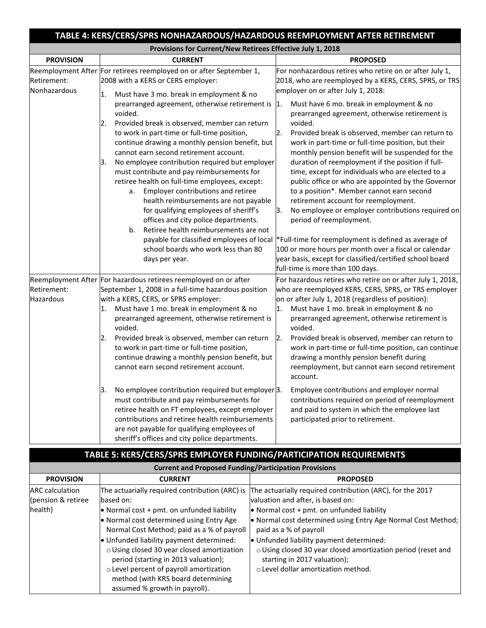|                             | TABLE 4: KERS/CERS/SPRS NONHAZARDOUS/HAZARDOUS REEMPLOYMENT AFTER RETIREMENT                                                                                                                                                                                                                                                                                                                                                                                                                                                                                                                                                                                                                                                                    |                                                                                                                                                                                                                                                                                                                                                                                                                                                                                                                                                                                                                                                                                                                                                                                                                                                      |
|-----------------------------|-------------------------------------------------------------------------------------------------------------------------------------------------------------------------------------------------------------------------------------------------------------------------------------------------------------------------------------------------------------------------------------------------------------------------------------------------------------------------------------------------------------------------------------------------------------------------------------------------------------------------------------------------------------------------------------------------------------------------------------------------|------------------------------------------------------------------------------------------------------------------------------------------------------------------------------------------------------------------------------------------------------------------------------------------------------------------------------------------------------------------------------------------------------------------------------------------------------------------------------------------------------------------------------------------------------------------------------------------------------------------------------------------------------------------------------------------------------------------------------------------------------------------------------------------------------------------------------------------------------|
|                             | Provisions for Current/New Retirees Effective July 1, 2018                                                                                                                                                                                                                                                                                                                                                                                                                                                                                                                                                                                                                                                                                      |                                                                                                                                                                                                                                                                                                                                                                                                                                                                                                                                                                                                                                                                                                                                                                                                                                                      |
| <b>PROVISION</b>            | <b>CURRENT</b>                                                                                                                                                                                                                                                                                                                                                                                                                                                                                                                                                                                                                                                                                                                                  | <b>PROPOSED</b>                                                                                                                                                                                                                                                                                                                                                                                                                                                                                                                                                                                                                                                                                                                                                                                                                                      |
| Retirement:<br>Nonhazardous | Reemployment After For retirees reemployed on or after September 1,<br>2008 with a KERS or CERS employer:<br>Must have 3 mo. break in employment & no<br>1.                                                                                                                                                                                                                                                                                                                                                                                                                                                                                                                                                                                     | For nonhazardous retires who retire on or after July 1,<br>2018, who are reemployed by a KERS, CERS, SPRS, or TRS<br>employer on or after July 1, 2018:                                                                                                                                                                                                                                                                                                                                                                                                                                                                                                                                                                                                                                                                                              |
|                             | prearranged agreement, otherwise retirement is<br>voided.<br>Provided break is observed, member can return<br>2.<br>to work in part-time or full-time position,<br>continue drawing a monthly pension benefit, but<br>cannot earn second retirement account.<br>No employee contribution required but employer<br>3.<br>must contribute and pay reimbursements for<br>retiree health on full-time employees, except:<br>Employer contributions and retiree<br>а.<br>health reimbursements are not payable<br>for qualifying employees of sheriff's<br>offices and city police departments.<br>Retiree health reimbursements are not<br>b.<br>payable for classified employees of local<br>school boards who work less than 80<br>days per year. | Must have 6 mo. break in employment & no<br>$\vert$ 1.<br>prearranged agreement, otherwise retirement is<br>voided.<br>Provided break is observed, member can return to<br>2.<br>work in part-time or full-time position, but their<br>monthly pension benefit will be suspended for the<br>duration of reemployment if the position if full-<br>time, except for individuals who are elected to a<br>public office or who are appointed by the Governor<br>to a position*. Member cannot earn second<br>retirement account for reemployment.<br>3.<br>No employee or employer contributions required on<br>period of reemployment.<br>*Full-time for reemployment is defined as average of<br>100 or more hours per month over a fiscal or calendar<br>year basis, except for classified/certified school board<br>full-time is more than 100 days. |
| Retirement:<br>Hazardous    | Reemployment After For hazardous retirees reemployed on or after<br>September 1, 2008 in a full-time hazardous position<br>with a KERS, CERS, or SPRS employer:<br>Must have 1 mo. break in employment & no<br>1.<br>prearranged agreement, otherwise retirement is<br>voided.<br>Provided break is observed, member can return<br>2.<br>to work in part-time or full-time position,                                                                                                                                                                                                                                                                                                                                                            | For hazardous retires who retire on or after July 1, 2018,<br>who are reemployed KERS, CERS, SPRS, or TRS employer<br>on or after July 1, 2018 (regardless of position):<br>Must have 1 mo. break in employment & no<br>1.<br>prearranged agreement, otherwise retirement is<br>voided.<br>$\overline{2}$ .<br>Provided break is observed, member can return to<br>work in part-time or full-time position, can continue                                                                                                                                                                                                                                                                                                                                                                                                                             |
|                             | continue drawing a monthly pension benefit, but<br>cannot earn second retirement account.<br>3.<br>No employee contribution required but employer 3.<br>must contribute and pay reimbursements for<br>retiree health on FT employees, except employer<br>contributions and retiree health reimbursements<br>are not payable for qualifying employees of<br>sheriff's offices and city police departments.                                                                                                                                                                                                                                                                                                                                       | drawing a monthly pension benefit during<br>reemployment, but cannot earn second retirement<br>account.<br>Employee contributions and employer normal<br>contributions required on period of reemployment<br>and paid to system in which the employee last<br>participated prior to retirement.                                                                                                                                                                                                                                                                                                                                                                                                                                                                                                                                                      |

## **TABLE 5: KERS/CERS/SPRS EMPLOYER FUNDING/PARTICIPATION REQUIREMENTS**

| <b>Current and Proposed Funding/Participation Provisions</b> |                                                                                                                                                                                                                                                                                                                                                                                        |                                                                                                                                                                                                                                                                                                                                                                                                                           |  |  |  |  |
|--------------------------------------------------------------|----------------------------------------------------------------------------------------------------------------------------------------------------------------------------------------------------------------------------------------------------------------------------------------------------------------------------------------------------------------------------------------|---------------------------------------------------------------------------------------------------------------------------------------------------------------------------------------------------------------------------------------------------------------------------------------------------------------------------------------------------------------------------------------------------------------------------|--|--|--|--|
| <b>PROVISION</b>                                             | <b>CURRENT</b>                                                                                                                                                                                                                                                                                                                                                                         | <b>PROPOSED</b>                                                                                                                                                                                                                                                                                                                                                                                                           |  |  |  |  |
| <b>ARC</b> calculation<br>(pension & retiree<br>health)      | The actuarially required contribution (ARC) is<br>based on:<br>$\bullet$ Normal cost + pmt. on unfunded liability<br>• Normal cost determined using Entry Age<br>Normal Cost Method; paid as a % of payroll<br>Unfunded liability payment determined:<br>o Using closed 30 year closed amortization<br>period (starting in 2013 valuation);<br>o Level percent of payroll amortization | The actuarially required contribution (ARC), for the 2017<br>valuation and after, is based on:<br>• Normal cost + pmt. on unfunded liability<br>• Normal cost determined using Entry Age Normal Cost Method;<br>paid as a % of payroll<br>. Unfunded liability payment determined:<br>o Using closed 30 year closed amortization period (reset and<br>starting in 2017 valuation);<br>o Level dollar amortization method. |  |  |  |  |
|                                                              | method (with KRS board determining<br>assumed % growth in payroll).                                                                                                                                                                                                                                                                                                                    |                                                                                                                                                                                                                                                                                                                                                                                                                           |  |  |  |  |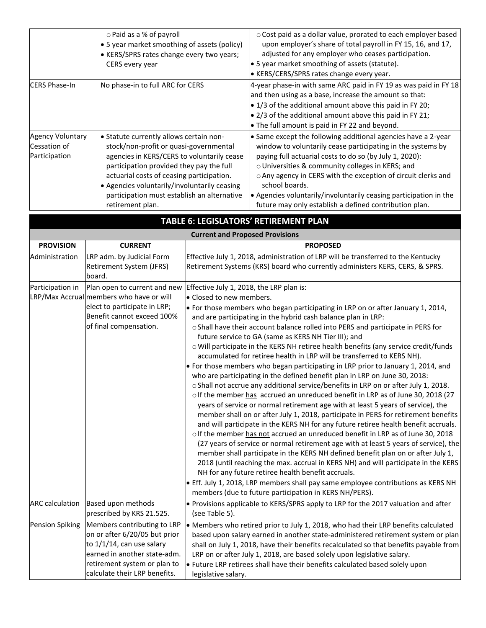|                                                   | o Paid as a % of payroll<br>$\bullet$ 5 year market smoothing of assets (policy)<br>• KERS/SPRS rates change every two years;<br>CERS every year                                                                                                                                                                                            | o Cost paid as a dollar value, prorated to each employer based<br>upon employer's share of total payroll in FY 15, 16, and 17,<br>adjusted for any employer who ceases participation.<br>$\bullet$ 5 year market smoothing of assets (statute).<br><b>EXERVALLER KISS</b> Fates change every year.                                                                                                                                                                            |
|---------------------------------------------------|---------------------------------------------------------------------------------------------------------------------------------------------------------------------------------------------------------------------------------------------------------------------------------------------------------------------------------------------|-------------------------------------------------------------------------------------------------------------------------------------------------------------------------------------------------------------------------------------------------------------------------------------------------------------------------------------------------------------------------------------------------------------------------------------------------------------------------------|
| <b>CERS Phase-In</b>                              | No phase-in to full ARC for CERS                                                                                                                                                                                                                                                                                                            | 4-year phase-in with same ARC paid in FY 19 as was paid in FY 18<br>and then using as a base, increase the amount so that:<br>$\bullet$ 1/3 of the additional amount above this paid in FY 20;<br>$\bullet$ 2/3 of the additional amount above this paid in FY 21;<br>$\bullet$ The full amount is paid in FY 22 and beyond.                                                                                                                                                  |
| Agency Voluntary<br>Cessation of<br>Participation | • Statute currently allows certain non-<br>stock/non-profit or quasi-governmental<br>agencies in KERS/CERS to voluntarily cease<br>participation provided they pay the full<br>actuarial costs of ceasing participation.<br>• Agencies voluntarily/involuntarily ceasing<br>participation must establish an alternative<br>retirement plan. | $\bullet$ Same except the following additional agencies have a 2-year<br>window to voluntarily cease participating in the systems by<br>paying full actuarial costs to do so (by July 1, 2020):<br>o Universities & community colleges in KERS; and<br>o Any agency in CERS with the exception of circuit clerks and<br>school boards.<br>$\bullet$ Agencies voluntarily/involuntarily ceasing participation in the<br>future may only establish a defined contribution plan. |

## **TABLE 6: LEGISLATORS' RETIREMENT PLAN**

|                        | <b>Current and Proposed Provisions</b>                                                                                                                    |                                                                                                                                                                                                                                                                                                                                                                                                                                                                                                                                                                                                                                                                                                                                                                                                                                                                                                                                                                                                                                                                                                                                                                                                                                                                                                                                                                                                                                                                                     |  |  |  |  |
|------------------------|-----------------------------------------------------------------------------------------------------------------------------------------------------------|-------------------------------------------------------------------------------------------------------------------------------------------------------------------------------------------------------------------------------------------------------------------------------------------------------------------------------------------------------------------------------------------------------------------------------------------------------------------------------------------------------------------------------------------------------------------------------------------------------------------------------------------------------------------------------------------------------------------------------------------------------------------------------------------------------------------------------------------------------------------------------------------------------------------------------------------------------------------------------------------------------------------------------------------------------------------------------------------------------------------------------------------------------------------------------------------------------------------------------------------------------------------------------------------------------------------------------------------------------------------------------------------------------------------------------------------------------------------------------------|--|--|--|--|
| <b>PROVISION</b>       | <b>CURRENT</b>                                                                                                                                            | <b>PROPOSED</b>                                                                                                                                                                                                                                                                                                                                                                                                                                                                                                                                                                                                                                                                                                                                                                                                                                                                                                                                                                                                                                                                                                                                                                                                                                                                                                                                                                                                                                                                     |  |  |  |  |
| Administration         | LRP adm. by Judicial Form<br>Retirement System (JFRS)<br>board.                                                                                           | Effective July 1, 2018, administration of LRP will be transferred to the Kentucky<br>Retirement Systems (KRS) board who currently administers KERS, CERS, & SPRS.                                                                                                                                                                                                                                                                                                                                                                                                                                                                                                                                                                                                                                                                                                                                                                                                                                                                                                                                                                                                                                                                                                                                                                                                                                                                                                                   |  |  |  |  |
| Participation in       | Plan open to current and new                                                                                                                              | Effective July 1, 2018, the LRP plan is:                                                                                                                                                                                                                                                                                                                                                                                                                                                                                                                                                                                                                                                                                                                                                                                                                                                                                                                                                                                                                                                                                                                                                                                                                                                                                                                                                                                                                                            |  |  |  |  |
|                        | LRP/Max Accrual members who have or will                                                                                                                  | • Closed to new members.                                                                                                                                                                                                                                                                                                                                                                                                                                                                                                                                                                                                                                                                                                                                                                                                                                                                                                                                                                                                                                                                                                                                                                                                                                                                                                                                                                                                                                                            |  |  |  |  |
|                        | elect to participate in LRP;<br>Benefit cannot exceed 100%<br>of final compensation.                                                                      | . For those members who began participating in LRP on or after January 1, 2014,<br>and are participating in the hybrid cash balance plan in LRP:<br>o Shall have their account balance rolled into PERS and participate in PERS for<br>future service to GA (same as KERS NH Tier III); and<br>o Will participate in the KERS NH retiree health benefits (any service credit/funds<br>accumulated for retiree health in LRP will be transferred to KERS NH).<br>• For those members who began participating in LRP prior to January 1, 2014, and<br>who are participating in the defined benefit plan in LRP on June 30, 2018:<br>o Shall not accrue any additional service/benefits in LRP on or after July 1, 2018.<br>olf the member has accrued an unreduced benefit in LRP as of June 30, 2018 (27<br>years of service or normal retirement age with at least 5 years of service), the<br>member shall on or after July 1, 2018, participate in PERS for retirement benefits<br>and will participate in the KERS NH for any future retiree health benefit accruals.<br>o If the member has not accrued an unreduced benefit in LRP as of June 30, 2018<br>(27 years of service or normal retirement age with at least 5 years of service), the<br>member shall participate in the KERS NH defined benefit plan on or after July 1,<br>2018 (until reaching the max. accrual in KERS NH) and will participate in the KERS<br>NH for any future retiree health benefit accruals. |  |  |  |  |
|                        |                                                                                                                                                           | • Eff. July 1, 2018, LRP members shall pay same employee contributions as KERS NH<br>members (due to future participation in KERS NH/PERS).                                                                                                                                                                                                                                                                                                                                                                                                                                                                                                                                                                                                                                                                                                                                                                                                                                                                                                                                                                                                                                                                                                                                                                                                                                                                                                                                         |  |  |  |  |
| <b>ARC</b> calculation | Based upon methods<br>prescribed by KRS 21.525.                                                                                                           | $\bullet$ Provisions applicable to KERS/SPRS apply to LRP for the 2017 valuation and after<br>(see Table 5).                                                                                                                                                                                                                                                                                                                                                                                                                                                                                                                                                                                                                                                                                                                                                                                                                                                                                                                                                                                                                                                                                                                                                                                                                                                                                                                                                                        |  |  |  |  |
| <b>Pension Spiking</b> | Members contributing to LRP<br>on or after 6/20/05 but prior<br>to 1/1/14, can use salary<br>earned in another state-adm.<br>retirement system or plan to | • Members who retired prior to July 1, 2018, who had their LRP benefits calculated<br>based upon salary earned in another state-administered retirement system or plan<br>shall on July 1, 2018, have their benefits recalculated so that benefits payable from<br>LRP on or after July 1, 2018, are based solely upon legislative salary.<br>• Future LRP retirees shall have their benefits calculated based solely upon                                                                                                                                                                                                                                                                                                                                                                                                                                                                                                                                                                                                                                                                                                                                                                                                                                                                                                                                                                                                                                                          |  |  |  |  |

legislative salary.

calculate their LRP benefits.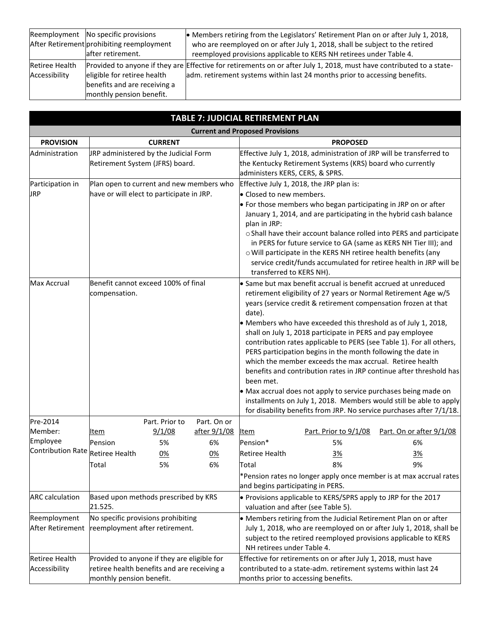|                       | Reemployment No specific provisions       | • Members retiring from the Legislators' Retirement Plan on or after July 1, 2018,                                   |
|-----------------------|-------------------------------------------|----------------------------------------------------------------------------------------------------------------------|
|                       | After Retirement prohibiting reemployment | who are reemployed on or after July 1, 2018, shall be subject to the retired                                         |
|                       | after retirement.                         | reemployed provisions applicable to KERS NH retirees under Table 4.                                                  |
| <b>Retiree Health</b> |                                           | Provided to anyone if they are Effective for retirements on or after July 1, 2018, must have contributed to a state- |
| Accessibility         | eligible for retiree health               | adm. retirement systems within last 24 months prior to accessing benefits.                                           |
|                       | benefits and are receiving a              |                                                                                                                      |
|                       | monthly pension benefit.                  |                                                                                                                      |

|                                        | <b>TABLE 7: JUDICIAL RETIREMENT PLAN</b>                                                                               |                |              |                                                                                                                                                                                                                                                                                                                                                                                                                                                                                               |                                                                                                                                                                                                                                                                                                                                                  |                          |  |  |  |
|----------------------------------------|------------------------------------------------------------------------------------------------------------------------|----------------|--------------|-----------------------------------------------------------------------------------------------------------------------------------------------------------------------------------------------------------------------------------------------------------------------------------------------------------------------------------------------------------------------------------------------------------------------------------------------------------------------------------------------|--------------------------------------------------------------------------------------------------------------------------------------------------------------------------------------------------------------------------------------------------------------------------------------------------------------------------------------------------|--------------------------|--|--|--|
|                                        |                                                                                                                        |                |              | <b>Current and Proposed Provisions</b>                                                                                                                                                                                                                                                                                                                                                                                                                                                        |                                                                                                                                                                                                                                                                                                                                                  |                          |  |  |  |
| <b>PROVISION</b>                       |                                                                                                                        | <b>CURRENT</b> |              |                                                                                                                                                                                                                                                                                                                                                                                                                                                                                               | <b>PROPOSED</b>                                                                                                                                                                                                                                                                                                                                  |                          |  |  |  |
| Administration                         | JRP administered by the Judicial Form<br>Retirement System (JFRS) board.                                               |                |              | Effective July 1, 2018, administration of JRP will be transferred to<br>the Kentucky Retirement Systems (KRS) board who currently<br>administers KERS, CERS, & SPRS.                                                                                                                                                                                                                                                                                                                          |                                                                                                                                                                                                                                                                                                                                                  |                          |  |  |  |
| Participation in                       | Plan open to current and new members who                                                                               |                |              |                                                                                                                                                                                                                                                                                                                                                                                                                                                                                               | Effective July 1, 2018, the JRP plan is:                                                                                                                                                                                                                                                                                                         |                          |  |  |  |
| <b>JRP</b>                             | have or will elect to participate in JRP.                                                                              |                |              | • Closed to new members.                                                                                                                                                                                                                                                                                                                                                                                                                                                                      |                                                                                                                                                                                                                                                                                                                                                  |                          |  |  |  |
|                                        |                                                                                                                        |                |              | plan in JRP:                                                                                                                                                                                                                                                                                                                                                                                                                                                                                  | $\bullet$ For those members who began participating in JRP on or after<br>January 1, 2014, and are participating in the hybrid cash balance                                                                                                                                                                                                      |                          |  |  |  |
|                                        |                                                                                                                        |                |              | o Shall have their account balance rolled into PERS and participate<br>in PERS for future service to GA (same as KERS NH Tier III); and<br>o Will participate in the KERS NH retiree health benefits (any<br>service credit/funds accumulated for retiree health in JRP will be<br>transferred to KERS NH).                                                                                                                                                                                   |                                                                                                                                                                                                                                                                                                                                                  |                          |  |  |  |
| <b>Max Accrual</b>                     | Benefit cannot exceed 100% of final<br>compensation.                                                                   |                |              | $\bullet$ Same but max benefit accrual is benefit accrued at unreduced<br>retirement eligibility of 27 years or Normal Retirement Age w/5<br>years (service credit & retirement compensation frozen at that<br>date).<br>• Members who have exceeded this threshold as of July 1, 2018,<br>shall on July 1, 2018 participate in PERS and pay employee<br>contribution rates applicable to PERS (see Table 1). For all others,<br>PERS participation begins in the month following the date in |                                                                                                                                                                                                                                                                                                                                                  |                          |  |  |  |
|                                        |                                                                                                                        |                |              | been met.                                                                                                                                                                                                                                                                                                                                                                                                                                                                                     | which the member exceeds the max accrual. Retiree health<br>benefits and contribution rates in JRP continue after threshold has<br>• Max accrual does not apply to service purchases being made on<br>installments on July 1, 2018. Members would still be able to apply<br>for disability benefits from JRP. No service purchases after 7/1/18. |                          |  |  |  |
| Pre-2014                               |                                                                                                                        | Part. Prior to | Part. On or  |                                                                                                                                                                                                                                                                                                                                                                                                                                                                                               |                                                                                                                                                                                                                                                                                                                                                  |                          |  |  |  |
| Member:                                | Item                                                                                                                   | 9/1/08         | after 9/1/08 | Item                                                                                                                                                                                                                                                                                                                                                                                                                                                                                          | Part. Prior to 9/1/08                                                                                                                                                                                                                                                                                                                            | Part. On or after 9/1/08 |  |  |  |
| Employee                               | Pension                                                                                                                | 5%             | 6%           | Pension*                                                                                                                                                                                                                                                                                                                                                                                                                                                                                      | 5%                                                                                                                                                                                                                                                                                                                                               | 6%                       |  |  |  |
| Contribution Rate Retiree Health       |                                                                                                                        | 0%             | <u>0%</u>    | <b>Retiree Health</b>                                                                                                                                                                                                                                                                                                                                                                                                                                                                         | <u>3%</u>                                                                                                                                                                                                                                                                                                                                        | <u>3%</u>                |  |  |  |
|                                        | Total                                                                                                                  | 5%             | 6%           | Total                                                                                                                                                                                                                                                                                                                                                                                                                                                                                         | 8%                                                                                                                                                                                                                                                                                                                                               | 9%                       |  |  |  |
|                                        |                                                                                                                        |                |              | *Pension rates no longer apply once member is at max accrual rates<br>and begins participating in PERS.                                                                                                                                                                                                                                                                                                                                                                                       |                                                                                                                                                                                                                                                                                                                                                  |                          |  |  |  |
| <b>ARC</b> calculation                 | Based upon methods prescribed by KRS<br>21.525.                                                                        |                |              | • Provisions applicable to KERS/SPRS apply to JRP for the 2017<br>valuation and after (see Table 5).                                                                                                                                                                                                                                                                                                                                                                                          |                                                                                                                                                                                                                                                                                                                                                  |                          |  |  |  |
| Reemployment<br>After Retirement       | No specific provisions prohibiting<br>reemployment after retirement.                                                   |                |              | • Members retiring from the Judicial Retirement Plan on or after<br>July 1, 2018, who are reemployed on or after July 1, 2018, shall be<br>subject to the retired reemployed provisions applicable to KERS<br>NH retirees under Table 4.                                                                                                                                                                                                                                                      |                                                                                                                                                                                                                                                                                                                                                  |                          |  |  |  |
| <b>Retiree Health</b><br>Accessibility | Provided to anyone if they are eligible for<br>retiree health benefits and are receiving a<br>monthly pension benefit. |                |              | Effective for retirements on or after July 1, 2018, must have<br>contributed to a state-adm. retirement systems within last 24<br>months prior to accessing benefits.                                                                                                                                                                                                                                                                                                                         |                                                                                                                                                                                                                                                                                                                                                  |                          |  |  |  |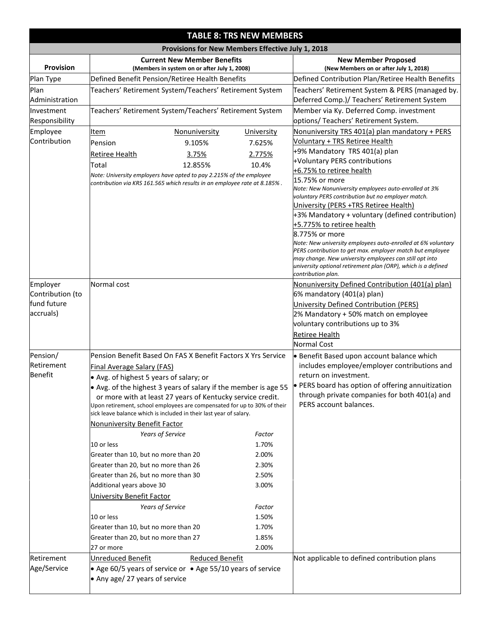|                                                          | <b>TABLE 8: TRS NEW MEMBERS</b>                                                                                                                                                                                                                                                                                                                                                                                                                                                                                                                                                                                                                                                                                                                                             |                                                                                 |                                                                                                                                                                                                                                                                                                                                                                                                                                                                                                                                                                                                                                                                                                                                                   |  |  |  |  |  |  |
|----------------------------------------------------------|-----------------------------------------------------------------------------------------------------------------------------------------------------------------------------------------------------------------------------------------------------------------------------------------------------------------------------------------------------------------------------------------------------------------------------------------------------------------------------------------------------------------------------------------------------------------------------------------------------------------------------------------------------------------------------------------------------------------------------------------------------------------------------|---------------------------------------------------------------------------------|---------------------------------------------------------------------------------------------------------------------------------------------------------------------------------------------------------------------------------------------------------------------------------------------------------------------------------------------------------------------------------------------------------------------------------------------------------------------------------------------------------------------------------------------------------------------------------------------------------------------------------------------------------------------------------------------------------------------------------------------------|--|--|--|--|--|--|
|                                                          |                                                                                                                                                                                                                                                                                                                                                                                                                                                                                                                                                                                                                                                                                                                                                                             | Provisions for New Members Effective July 1, 2018                               |                                                                                                                                                                                                                                                                                                                                                                                                                                                                                                                                                                                                                                                                                                                                                   |  |  |  |  |  |  |
| Provision                                                | <b>Current New Member Benefits</b><br>(Members in system on or after July 1, 2008)                                                                                                                                                                                                                                                                                                                                                                                                                                                                                                                                                                                                                                                                                          |                                                                                 | <b>New Member Proposed</b><br>(New Members on or after July 1, 2018)                                                                                                                                                                                                                                                                                                                                                                                                                                                                                                                                                                                                                                                                              |  |  |  |  |  |  |
| Plan Type                                                | Defined Benefit Pension/Retiree Health Benefits                                                                                                                                                                                                                                                                                                                                                                                                                                                                                                                                                                                                                                                                                                                             |                                                                                 | Defined Contribution Plan/Retiree Health Benefits                                                                                                                                                                                                                                                                                                                                                                                                                                                                                                                                                                                                                                                                                                 |  |  |  |  |  |  |
| Plan<br>Administration                                   | Teachers' Retirement System/Teachers' Retirement System                                                                                                                                                                                                                                                                                                                                                                                                                                                                                                                                                                                                                                                                                                                     |                                                                                 | Teachers' Retirement System & PERS (managed by.<br>Deferred Comp.)/ Teachers' Retirement System                                                                                                                                                                                                                                                                                                                                                                                                                                                                                                                                                                                                                                                   |  |  |  |  |  |  |
| <b>Investment</b><br>Responsibility                      | Teachers' Retirement System/Teachers' Retirement System                                                                                                                                                                                                                                                                                                                                                                                                                                                                                                                                                                                                                                                                                                                     |                                                                                 | Member via Ky. Deferred Comp. investment<br>options/ Teachers' Retirement System.                                                                                                                                                                                                                                                                                                                                                                                                                                                                                                                                                                                                                                                                 |  |  |  |  |  |  |
| Employee<br>Contribution                                 | <b>Item</b><br><b>Nonuniversity</b><br>Pension<br>9.105%<br><b>Retiree Health</b><br>3.75%<br>Total<br>12.855%<br>Note: University employers have opted to pay 2.215% of the employee<br>contribution via KRS 161.565 which results in an employee rate at 8.185%.                                                                                                                                                                                                                                                                                                                                                                                                                                                                                                          | <b>University</b><br>7.625%<br>2.775%<br>10.4%                                  | Nonuniversity TRS 401(a) plan mandatory + PERS<br><b>Voluntary + TRS Retiree Health</b><br>+9% Mandatory TRS 401(a) plan<br>+Voluntary PERS contributions<br>+6.75% to retiree health<br>15.75% or more<br>Note: New Nonuniversity employees auto-enrolled at 3%<br>voluntary PERS contribution but no employer match.<br>University (PERS +TRS Retiree Health)<br>+3% Mandatory + voluntary (defined contribution)<br>+5.775% to retiree health<br>8.775% or more<br>Note: New university employees auto-enrolled at 6% voluntary<br>PERS contribution to get max. employer match but employee<br>may change. New university employees can still opt into<br>university optional retirement plan (ORP), which is a defined<br>contribution plan. |  |  |  |  |  |  |
| Employer<br>Contribution (to<br>fund future<br>accruals) | Normal cost                                                                                                                                                                                                                                                                                                                                                                                                                                                                                                                                                                                                                                                                                                                                                                 |                                                                                 | Nonuniversity Defined Contribution (401(a) plan)<br>6% mandatory (401(a) plan)<br>University Defined Contribution (PERS)<br>2% Mandatory + 50% match on employee<br>voluntary contributions up to 3%<br><b>Retiree Health</b><br><b>Normal Cost</b>                                                                                                                                                                                                                                                                                                                                                                                                                                                                                               |  |  |  |  |  |  |
| Pension/<br>Retirement<br><b>Benefit</b>                 | Pension Benefit Based On FAS X Benefit Factors X Yrs Service<br><b>Final Average Salary (FAS)</b><br>• Avg. of highest 5 years of salary; or<br>• Avg. of the highest 3 years of salary if the member is age 55<br>or more with at least 27 years of Kentucky service credit.<br>Upon retirement, school employees are compensated for up to 30% of their<br>sick leave balance which is included in their last year of salary.<br>Nonuniversity Benefit Factor<br><b>Years of Service</b><br>10 or less<br>Greater than 10, but no more than 20<br>Greater than 20, but no more than 26<br>Greater than 26, but no more than 30<br>Additional years above 30<br><b>University Benefit Factor</b><br>Years of Service<br>10 or less<br>Greater than 10, but no more than 20 | Factor<br>1.70%<br>2.00%<br>2.30%<br>2.50%<br>3.00%<br>Factor<br>1.50%<br>1.70% | • Benefit Based upon account balance which<br>includes employee/employer contributions and<br>return on investment.<br>PERS board has option of offering annuitization<br>through private companies for both 401(a) and<br>PERS account balances.                                                                                                                                                                                                                                                                                                                                                                                                                                                                                                 |  |  |  |  |  |  |
| Retirement<br>Age/Service                                | Greater than 20, but no more than 27<br>27 or more<br><b>Reduced Benefit</b><br><b>Unreduced Benefit</b><br>• Age 60/5 years of service or • Age 55/10 years of service<br>• Any age/ 27 years of service                                                                                                                                                                                                                                                                                                                                                                                                                                                                                                                                                                   | 1.85%<br>2.00%                                                                  | Not applicable to defined contribution plans                                                                                                                                                                                                                                                                                                                                                                                                                                                                                                                                                                                                                                                                                                      |  |  |  |  |  |  |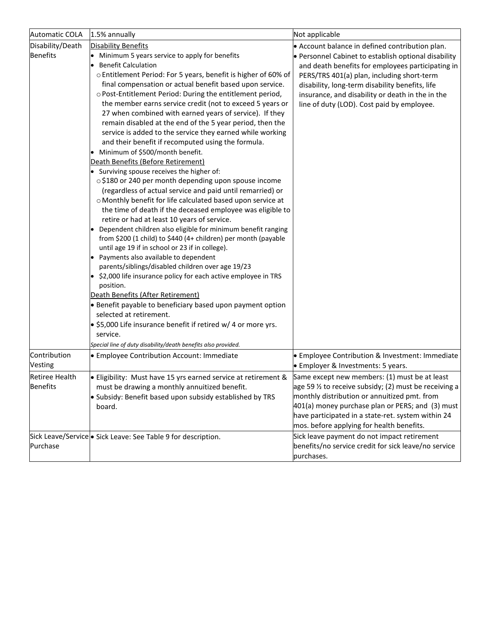| <b>Automatic COLA</b>                    | 1.5% annually                                                                                                                                                                                                                                                                                                                                                                                                                                                                                                                                                                                                                                                                                                                                                                                                                                                                                                                                                             | Not applicable                                                                                                                                                                                                                                                                                                                                                  |
|------------------------------------------|---------------------------------------------------------------------------------------------------------------------------------------------------------------------------------------------------------------------------------------------------------------------------------------------------------------------------------------------------------------------------------------------------------------------------------------------------------------------------------------------------------------------------------------------------------------------------------------------------------------------------------------------------------------------------------------------------------------------------------------------------------------------------------------------------------------------------------------------------------------------------------------------------------------------------------------------------------------------------|-----------------------------------------------------------------------------------------------------------------------------------------------------------------------------------------------------------------------------------------------------------------------------------------------------------------------------------------------------------------|
| Disability/Death<br>Benefits             | <b>Disability Benefits</b><br>• Minimum 5 years service to apply for benefits<br><b>Benefit Calculation</b><br>o Entitlement Period: For 5 years, benefit is higher of 60% of<br>final compensation or actual benefit based upon service.<br>o Post-Entitlement Period: During the entitlement period,<br>the member earns service credit (not to exceed 5 years or<br>27 when combined with earned years of service). If they<br>remain disabled at the end of the 5 year period, then the<br>service is added to the service they earned while working<br>and their benefit if recomputed using the formula.<br>• Minimum of \$500/month benefit.                                                                                                                                                                                                                                                                                                                       | • Account balance in defined contribution plan.<br>• Personnel Cabinet to establish optional disability<br>and death benefits for employees participating in<br>PERS/TRS 401(a) plan, including short-term<br>disability, long-term disability benefits, life<br>insurance, and disability or death in the in the<br>line of duty (LOD). Cost paid by employee. |
|                                          | Death Benefits (Before Retirement)<br>• Surviving spouse receives the higher of:<br>o \$180 or 240 per month depending upon spouse income<br>(regardless of actual service and paid until remarried) or<br>o Monthly benefit for life calculated based upon service at<br>the time of death if the deceased employee was eligible to<br>retire or had at least 10 years of service.<br>Dependent children also eligible for minimum benefit ranging<br>lo.<br>from \$200 (1 child) to \$440 (4+ children) per month (payable<br>until age 19 if in school or 23 if in college).<br>• Payments also available to dependent<br>parents/siblings/disabled children over age 19/23<br>• \$2,000 life insurance policy for each active employee in TRS<br>position.<br>Death Benefits (After Retirement)<br>• Benefit payable to beneficiary based upon payment option<br>selected at retirement.<br>. \$5,000 Life insurance benefit if retired w/ 4 or more yrs.<br>service. |                                                                                                                                                                                                                                                                                                                                                                 |
| Contribution<br>Vesting                  | Special line of duty disability/death benefits also provided.<br><b>Employee Contribution Account: Immediate</b>                                                                                                                                                                                                                                                                                                                                                                                                                                                                                                                                                                                                                                                                                                                                                                                                                                                          | • Employee Contribution & Investment: Immediate<br><b>Employer &amp; Investments: 5 years.</b>                                                                                                                                                                                                                                                                  |
| <b>Retiree Health</b><br><b>Benefits</b> | • Eligibility: Must have 15 yrs earned service at retirement &<br>must be drawing a monthly annuitized benefit.<br>· Subsidy: Benefit based upon subsidy established by TRS<br>board.                                                                                                                                                                                                                                                                                                                                                                                                                                                                                                                                                                                                                                                                                                                                                                                     | Same except new members: (1) must be at least<br>age 59 $\frac{1}{2}$ to receive subsidy; (2) must be receiving a<br>monthly distribution or annuitized pmt. from<br>401(a) money purchase plan or PERS; and (3) must<br>have participated in a state-ret. system within 24<br>mos. before applying for health benefits.                                        |
| Purchase                                 | Sick Leave/Service • Sick Leave: See Table 9 for description.                                                                                                                                                                                                                                                                                                                                                                                                                                                                                                                                                                                                                                                                                                                                                                                                                                                                                                             | Sick leave payment do not impact retirement<br>benefits/no service credit for sick leave/no service<br>purchases.                                                                                                                                                                                                                                               |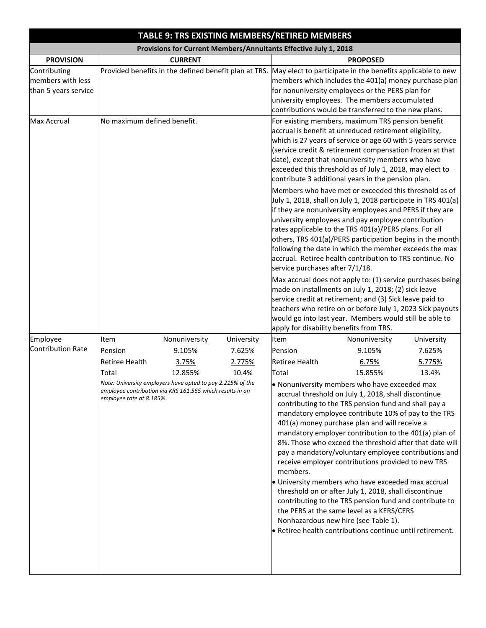|                                                           |                                                                               |                                                                                                                                                                        |                                         | TABLE 9: TRS EXISTING MEMBERS/RETIRED MEMBERS                              |                                                                                                                                                                                                                                                                                                                                                                                                                                                                                                                                                                                                                                                                                                                                                                                                                                                                                                                                                                                                                                                                                                                                                                                                                    |                                         |
|-----------------------------------------------------------|-------------------------------------------------------------------------------|------------------------------------------------------------------------------------------------------------------------------------------------------------------------|-----------------------------------------|----------------------------------------------------------------------------|--------------------------------------------------------------------------------------------------------------------------------------------------------------------------------------------------------------------------------------------------------------------------------------------------------------------------------------------------------------------------------------------------------------------------------------------------------------------------------------------------------------------------------------------------------------------------------------------------------------------------------------------------------------------------------------------------------------------------------------------------------------------------------------------------------------------------------------------------------------------------------------------------------------------------------------------------------------------------------------------------------------------------------------------------------------------------------------------------------------------------------------------------------------------------------------------------------------------|-----------------------------------------|
|                                                           |                                                                               |                                                                                                                                                                        |                                         | Provisions for Current Members/Annuitants Effective July 1, 2018           |                                                                                                                                                                                                                                                                                                                                                                                                                                                                                                                                                                                                                                                                                                                                                                                                                                                                                                                                                                                                                                                                                                                                                                                                                    |                                         |
| <b>PROVISION</b>                                          |                                                                               | <b>CURRENT</b>                                                                                                                                                         |                                         |                                                                            | <b>PROPOSED</b>                                                                                                                                                                                                                                                                                                                                                                                                                                                                                                                                                                                                                                                                                                                                                                                                                                                                                                                                                                                                                                                                                                                                                                                                    |                                         |
| Contributing<br>members with less<br>than 5 years service |                                                                               |                                                                                                                                                                        |                                         |                                                                            | Provided benefits in the defined benefit plan at TRS. May elect to participate in the benefits applicable to new<br>members which includes the 401(a) money purchase plan<br>for nonuniversity employees or the PERS plan for<br>university employees. The members accumulated<br>contributions would be transferred to the new plans.                                                                                                                                                                                                                                                                                                                                                                                                                                                                                                                                                                                                                                                                                                                                                                                                                                                                             |                                         |
| <b>Max Accrual</b>                                        | No maximum defined benefit.                                                   |                                                                                                                                                                        |                                         | service purchases after 7/1/18.<br>apply for disability benefits from TRS. | For existing members, maximum TRS pension benefit<br>accrual is benefit at unreduced retirement eligibility,<br>which is 27 years of service or age 60 with 5 years service<br>(service credit & retirement compensation frozen at that<br>date), except that nonuniversity members who have<br>exceeded this threshold as of July 1, 2018, may elect to<br>contribute 3 additional years in the pension plan.<br>Members who have met or exceeded this threshold as of<br>July 1, 2018, shall on July 1, 2018 participate in TRS 401(a)<br>if they are nonuniversity employees and PERS if they are<br>university employees and pay employee contribution<br>rates applicable to the TRS 401(a)/PERS plans. For all<br>others, TRS 401(a)/PERS participation begins in the month<br>following the date in which the member exceeds the max<br>accrual. Retiree health contribution to TRS continue. No<br>Max accrual does not apply to: (1) service purchases being<br>made on installments on July 1, 2018; (2) sick leave<br>service credit at retirement; and (3) Sick leave paid to<br>teachers who retire on or before July 1, 2023 Sick payouts<br>would go into last year. Members would still be able to |                                         |
| Employee<br>Contribution Rate                             | Item<br>Pension<br><b>Retiree Health</b><br>Total<br>employee rate at 8.185%. | Nonuniversity<br>9.105%<br>3.75%<br>12.855%<br>Note: University employers have opted to pay 2.215% of the<br>employee contribution via KRS 161.565 which results in an | University<br>7.625%<br>2.775%<br>10.4% | <b>Item</b><br>Pension<br><b>Retiree Health</b><br>Total<br>members.       | Nonuniversity<br>9.105%<br>6.75%<br>15.855%<br>. Nonuniversity members who have exceeded max<br>accrual threshold on July 1, 2018, shall discontinue<br>contributing to the TRS pension fund and shall pay a<br>mandatory employee contribute 10% of pay to the TRS<br>401(a) money purchase plan and will receive a<br>mandatory employer contribution to the 401(a) plan of<br>8%. Those who exceed the threshold after that date will<br>pay a mandatory/voluntary employee contributions and<br>receive employer contributions provided to new TRS<br>• University members who have exceeded max accrual<br>threshold on or after July 1, 2018, shall discontinue<br>contributing to the TRS pension fund and contribute to<br>the PERS at the same level as a KERS/CERS<br>Nonhazardous new hire (see Table 1).<br>• Retiree health contributions continue until retirement.                                                                                                                                                                                                                                                                                                                                  | University<br>7.625%<br>5.775%<br>13.4% |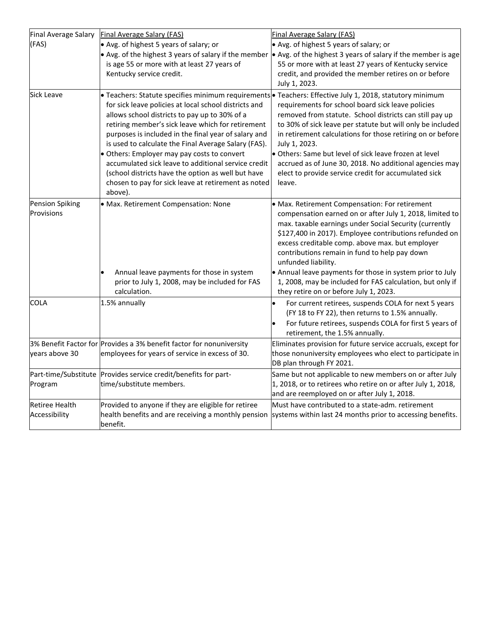| Final Average Salary                   | <b>Final Average Salary (FAS)</b>                                                                                                                                                                                                                                                                                                                                                                                                                                                                         | Final Average Salary (FAS)                                                                                                                                                                                                                                                                                                                                                                                                                                                                                                                                   |
|----------------------------------------|-----------------------------------------------------------------------------------------------------------------------------------------------------------------------------------------------------------------------------------------------------------------------------------------------------------------------------------------------------------------------------------------------------------------------------------------------------------------------------------------------------------|--------------------------------------------------------------------------------------------------------------------------------------------------------------------------------------------------------------------------------------------------------------------------------------------------------------------------------------------------------------------------------------------------------------------------------------------------------------------------------------------------------------------------------------------------------------|
| (FAS)                                  | • Avg. of highest 5 years of salary; or                                                                                                                                                                                                                                                                                                                                                                                                                                                                   | • Avg. of highest 5 years of salary; or                                                                                                                                                                                                                                                                                                                                                                                                                                                                                                                      |
|                                        | is age 55 or more with at least 27 years of<br>Kentucky service credit.                                                                                                                                                                                                                                                                                                                                                                                                                                   | • Avg. of the highest 3 years of salary if the member $\bullet$ Avg. of the highest 3 years of salary if the member is age<br>55 or more with at least 27 years of Kentucky service<br>credit, and provided the member retires on or before<br>July 1, 2023.                                                                                                                                                                                                                                                                                                 |
| Sick Leave                             | for sick leave policies at local school districts and<br>allows school districts to pay up to 30% of a<br>retiring member's sick leave which for retirement<br>purposes is included in the final year of salary and<br>is used to calculate the Final Average Salary (FAS).<br>• Others: Employer may pay costs to convert<br>accumulated sick leave to additional service credit<br>(school districts have the option as well but have<br>chosen to pay for sick leave at retirement as noted<br>above). | • Teachers: Statute specifies minimum requirements • Teachers: Effective July 1, 2018, statutory minimum<br>requirements for school board sick leave policies<br>removed from statute. School districts can still pay up<br>to 30% of sick leave per statute but will only be included<br>in retirement calculations for those retiring on or before<br>July 1, 2023.<br>• Others: Same but level of sick leave frozen at level<br>accrued as of June 30, 2018. No additional agencies may<br>elect to provide service credit for accumulated sick<br>leave. |
| <b>Pension Spiking</b><br>Provisions   | · Max. Retirement Compensation: None<br>Annual leave payments for those in system<br>prior to July 1, 2008, may be included for FAS<br>calculation.                                                                                                                                                                                                                                                                                                                                                       | • Max. Retirement Compensation: For retirement<br>compensation earned on or after July 1, 2018, limited to<br>max. taxable earnings under Social Security (currently<br>\$127,400 in 2017). Employee contributions refunded on<br>excess creditable comp. above max. but employer<br>contributions remain in fund to help pay down<br>unfunded liability.<br>• Annual leave payments for those in system prior to July<br>1, 2008, may be included for FAS calculation, but only if<br>they retire on or before July 1, 2023.                                |
| <b>COLA</b>                            | 1.5% annually                                                                                                                                                                                                                                                                                                                                                                                                                                                                                             | For current retirees, suspends COLA for next 5 years<br>(FY 18 to FY 22), then returns to 1.5% annually.<br>For future retirees, suspends COLA for first 5 years of<br>retirement, the 1.5% annually.                                                                                                                                                                                                                                                                                                                                                        |
|                                        | 3% Benefit Factor for Provides a 3% benefit factor for nonuniversity                                                                                                                                                                                                                                                                                                                                                                                                                                      | Eliminates provision for future service accruals, except for                                                                                                                                                                                                                                                                                                                                                                                                                                                                                                 |
| years above 30                         | employees for years of service in excess of 30.                                                                                                                                                                                                                                                                                                                                                                                                                                                           | those nonuniversity employees who elect to participate in<br>DB plan through FY 2021.                                                                                                                                                                                                                                                                                                                                                                                                                                                                        |
|                                        | Part-time/Substitute Provides service credit/benefits for part-                                                                                                                                                                                                                                                                                                                                                                                                                                           | Same but not applicable to new members on or after July                                                                                                                                                                                                                                                                                                                                                                                                                                                                                                      |
| Program                                | time/substitute members.                                                                                                                                                                                                                                                                                                                                                                                                                                                                                  | 1, 2018, or to retirees who retire on or after July 1, 2018,<br>and are reemployed on or after July 1, 2018.                                                                                                                                                                                                                                                                                                                                                                                                                                                 |
| <b>Retiree Health</b><br>Accessibility | Provided to anyone if they are eligible for retiree<br>benefit.                                                                                                                                                                                                                                                                                                                                                                                                                                           | Must have contributed to a state-adm. retirement<br>health benefits and are receiving a monthly pension systems within last 24 months prior to accessing benefits.                                                                                                                                                                                                                                                                                                                                                                                           |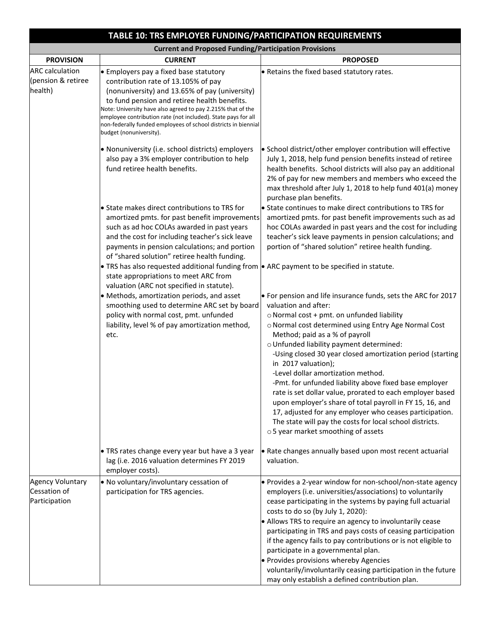|                                                          | TABLE 10: TRS EMPLOYER FUNDING/PARTICIPATION REQUIREMENTS                                                                                                                                                                                                                                                                                                                                                    |                                                                                                                                                                                                                                                                                                                                                                                                                                                                                                                                                                                                                                                                                                                                                       |  |
|----------------------------------------------------------|--------------------------------------------------------------------------------------------------------------------------------------------------------------------------------------------------------------------------------------------------------------------------------------------------------------------------------------------------------------------------------------------------------------|-------------------------------------------------------------------------------------------------------------------------------------------------------------------------------------------------------------------------------------------------------------------------------------------------------------------------------------------------------------------------------------------------------------------------------------------------------------------------------------------------------------------------------------------------------------------------------------------------------------------------------------------------------------------------------------------------------------------------------------------------------|--|
|                                                          | <b>Current and Proposed Funding/Participation Provisions</b>                                                                                                                                                                                                                                                                                                                                                 |                                                                                                                                                                                                                                                                                                                                                                                                                                                                                                                                                                                                                                                                                                                                                       |  |
| <b>PROVISION</b>                                         | <b>CURRENT</b>                                                                                                                                                                                                                                                                                                                                                                                               | <b>PROPOSED</b>                                                                                                                                                                                                                                                                                                                                                                                                                                                                                                                                                                                                                                                                                                                                       |  |
| <b>ARC</b> calculation<br>(pension & retiree<br>health)  | • Employers pay a fixed base statutory<br>contribution rate of 13.105% of pay<br>(nonuniversity) and 13.65% of pay (university)<br>to fund pension and retiree health benefits.<br>Note: University have also agreed to pay 2.215% that of the<br>employee contribution rate (not included). State pays for all<br>non-federally funded employees of school districts in biennial<br>budget (nonuniversity). | . Retains the fixed based statutory rates.                                                                                                                                                                                                                                                                                                                                                                                                                                                                                                                                                                                                                                                                                                            |  |
|                                                          | • Nonuniversity (i.e. school districts) employers<br>also pay a 3% employer contribution to help<br>fund retiree health benefits.                                                                                                                                                                                                                                                                            | • School district/other employer contribution will effective<br>July 1, 2018, help fund pension benefits instead of retiree<br>health benefits. School districts will also pay an additional<br>2% of pay for new members and members who exceed the<br>max threshold after July 1, 2018 to help fund 401(a) money<br>purchase plan benefits.                                                                                                                                                                                                                                                                                                                                                                                                         |  |
|                                                          | • State makes direct contributions to TRS for<br>amortized pmts. for past benefit improvements<br>such as ad hoc COLAs awarded in past years<br>and the cost for including teacher's sick leave<br>payments in pension calculations; and portion<br>of "shared solution" retiree health funding.                                                                                                             | State continues to make direct contributions to TRS for<br>amortized pmts. for past benefit improvements such as ad<br>hoc COLAs awarded in past years and the cost for including<br>teacher's sick leave payments in pension calculations; and<br>portion of "shared solution" retiree health funding.                                                                                                                                                                                                                                                                                                                                                                                                                                               |  |
|                                                          | • TRS has also requested additional funding from $\bullet$ ARC payment to be specified in statute.<br>state appropriations to meet ARC from<br>valuation (ARC not specified in statute).                                                                                                                                                                                                                     |                                                                                                                                                                                                                                                                                                                                                                                                                                                                                                                                                                                                                                                                                                                                                       |  |
|                                                          | · Methods, amortization periods, and asset<br>smoothing used to determine ARC set by board<br>policy with normal cost, pmt. unfunded<br>liability, level % of pay amortization method,<br>etc.                                                                                                                                                                                                               | • For pension and life insurance funds, sets the ARC for 2017<br>valuation and after:<br>o Normal cost + pmt. on unfunded liability<br>o Normal cost determined using Entry Age Normal Cost<br>Method; paid as a % of payroll<br>o Unfunded liability payment determined:<br>-Using closed 30 year closed amortization period (starting<br>in 2017 valuation);<br>-Level dollar amortization method.<br>-Pmt. for unfunded liability above fixed base employer<br>rate is set dollar value, prorated to each employer based<br>upon employer's share of total payroll in FY 15, 16, and<br>17, adjusted for any employer who ceases participation.<br>The state will pay the costs for local school districts.<br>o 5 year market smoothing of assets |  |
|                                                          | • TRS rates change every year but have a 3 year<br>lag (i.e. 2016 valuation determines FY 2019<br>employer costs).                                                                                                                                                                                                                                                                                           | • Rate changes annually based upon most recent actuarial<br>valuation.                                                                                                                                                                                                                                                                                                                                                                                                                                                                                                                                                                                                                                                                                |  |
| <b>Agency Voluntary</b><br>Cessation of<br>Participation | . No voluntary/involuntary cessation of<br>participation for TRS agencies.                                                                                                                                                                                                                                                                                                                                   | • Provides a 2-year window for non-school/non-state agency<br>employers (i.e. universities/associations) to voluntarily<br>cease participating in the systems by paying full actuarial<br>costs to do so (by July 1, 2020):<br>• Allows TRS to require an agency to involuntarily cease<br>participating in TRS and pays costs of ceasing participation<br>if the agency fails to pay contributions or is not eligible to<br>participate in a governmental plan.<br>• Provides provisions whereby Agencies<br>voluntarily/involuntarily ceasing participation in the future<br>may only establish a defined contribution plan.                                                                                                                        |  |